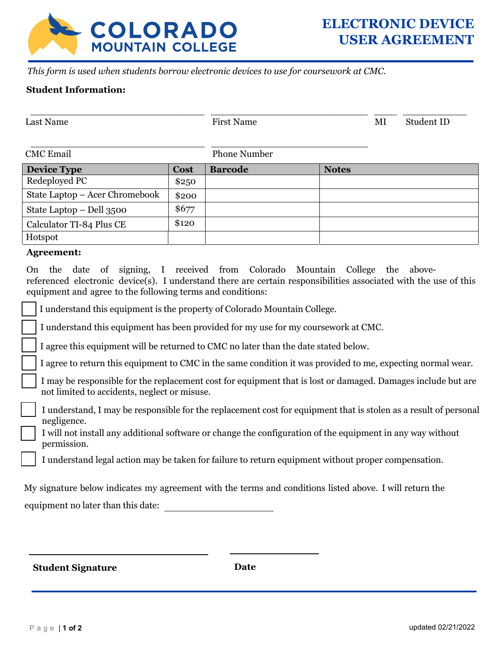

*This form is used when students borrow electronic devices to use for coursework at CMC.* 

## **Student Information:**

| <b>Last Name</b>                                                                                                                                                                                                                                                   |       | <b>First Name</b>   |              | ΜI | Student ID |
|--------------------------------------------------------------------------------------------------------------------------------------------------------------------------------------------------------------------------------------------------------------------|-------|---------------------|--------------|----|------------|
|                                                                                                                                                                                                                                                                    |       |                     |              |    |            |
| <b>CMC</b> Email                                                                                                                                                                                                                                                   |       | <b>Phone Number</b> |              |    |            |
| <b>Device Type</b>                                                                                                                                                                                                                                                 | Cost  | <b>Barcode</b>      | <b>Notes</b> |    |            |
| Redeployed PC                                                                                                                                                                                                                                                      | \$250 |                     |              |    |            |
| State Laptop – Acer Chromebook                                                                                                                                                                                                                                     | \$200 |                     |              |    |            |
| State Laptop $-$ Dell 3500                                                                                                                                                                                                                                         | \$677 |                     |              |    |            |
| Calculator TI-84 Plus CE                                                                                                                                                                                                                                           | \$120 |                     |              |    |            |
| Hotspot                                                                                                                                                                                                                                                            |       |                     |              |    |            |
| <b>Agreement:</b>                                                                                                                                                                                                                                                  |       |                     |              |    |            |
| the date of signing, I received from Colorado Mountain College the above-<br>On.<br>referenced electronic device(s). I understand there are certain responsibilities associated with the use of this<br>equipment and agree to the following terms and conditions: |       |                     |              |    |            |
| I understand this equipment is the property of Colorado Mountain College.                                                                                                                                                                                          |       |                     |              |    |            |
| I understand this equipment has been provided for my use for my coursework at CMC.                                                                                                                                                                                 |       |                     |              |    |            |

I agree this equipment will be returned to CMC no later than the date stated below.

I agree to return this equipment to CMC in the same condition it was provided to me, expecting normal wear.

- I may be responsible for the replacement cost for equipment that is lost or damaged. Damages include but are not limited to accidents, neglect or misuse.
- I understand, I may be responsible for the replacement cost for equipment that is stolen as a result of personal negligence.
	- I will not install any additional software or change the configuration of the equipment in any way without permission.
	- I understand legal action may be taken for failure to return equipment without proper compensation.

| My signature below indicates my agreement with the terms and conditions listed above. I will return the |  |  |  |
|---------------------------------------------------------------------------------------------------------|--|--|--|
| equipment no later than this date:                                                                      |  |  |  |

**Student Signature Date**